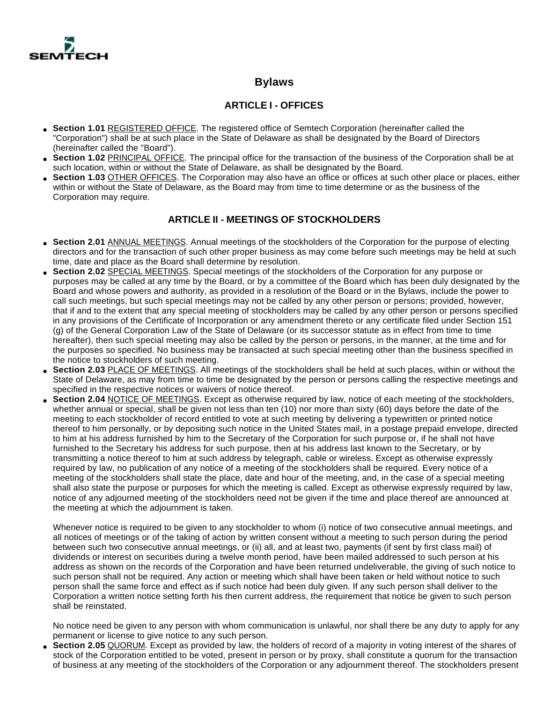

# **Bylaws**

## **ARTICLE I - OFFICES**

- **Section 1.01** REGISTERED OFFICE. The registered office of Semtech Corporation (hereinafter called the "Corporation") shall be at such place in the State of Delaware as shall be designated by the Board of Directors (hereinafter called the "Board").
- Section 1.02 PRINCIPAL OFFICE. The principal office for the transaction of the business of the Corporation shall be at such location, within or without the State of Delaware, as shall be designated by the Board.
- **Section 1.03 OTHER OFFICES.** The Corporation may also have an office or offices at such other place or places, either within or without the State of Delaware, as the Board may from time to time determine or as the business of the Corporation may require.

#### **ARTICLE II - MEETINGS OF STOCKHOLDERS**

- Section 2.01 ANNUAL MEETINGS. Annual meetings of the stockholders of the Corporation for the purpose of electing directors and for the transaction of such other proper business as may come before such meetings may be held at such time, date and place as the Board shall determine by resolution.
- **Section 2.02** SPECIAL MEETINGS. Special meetings of the stockholders of the Corporation for any purpose or purposes may be called at any time by the Board, or by a committee of the Board which has been duly designated by the Board and whose powers and authority, as provided in a resolution of the Board or in the Bylaws, include the power to call such meetings, but such special meetings may not be called by any other person or persons; provided, however, that if and to the extent that any special meeting of stockholders may be called by any other person or persons specified in any provisions of the Certificate of Incorporation or any amendment thereto or any certificate filed under Section 151 (g) of the General Corporation Law of the State of Delaware (or its successor statute as in effect from time to time hereafter), then such special meeting may also be called by the person or persons, in the manner, at the time and for the purposes so specified. No business may be transacted at such special meeting other than the business specified in the notice to stockholders of such meeting.
- **Section 2.03** PLACE OF MEETINGS. All meetings of the stockholders shall be held at such places, within or without the State of Delaware, as may from time to time be designated by the person or persons calling the respective meetings and specified in the respective notices or waivers of notice thereof.
- Section 2.04 NOTICE OF MEETINGS. Except as otherwise required by law, notice of each meeting of the stockholders, whether annual or special, shall be given not less than ten (10) nor more than sixty (60) days before the date of the meeting to each stockholder of record entitled to vote at such meeting by delivering a typewritten or printed notice thereof to him personally, or by depositing such notice in the United States mail, in a postage prepaid envelope, directed to him at his address furnished by him to the Secretary of the Corporation for such purpose or, if he shall not have furnished to the Secretary his address for such purpose, then at his address last known to the Secretary, or by transmitting a notice thereof to him at such address by telegraph, cable or wireless. Except as otherwise expressly required by law, no publication of any notice of a meeting of the stockholders shall be required. Every notice of a meeting of the stockholders shall state the place, date and hour of the meeting, and, in the case of a special meeting shall also state the purpose or purposes for which the meeting is called. Except as otherwise expressly required by law, notice of any adjourned meeting of the stockholders need not be given if the time and place thereof are announced at the meeting at which the adjournment is taken.

Whenever notice is required to be given to any stockholder to whom (i) notice of two consecutive annual meetings, and all notices of meetings or of the taking of action by written consent without a meeting to such person during the period between such two consecutive annual meetings, or (ii) all, and at least two, payments (if sent by first class mail) of dividends or interest on securities during a twelve month period, have been mailed addressed to such person at his address as shown on the records of the Corporation and have been returned undeliverable, the giving of such notice to such person shall not be required. Any action or meeting which shall have been taken or held without notice to such person shall the same force and effect as if such notice had been duly given. If any such person shall deliver to the Corporation a written notice setting forth his then current address, the requirement that notice be given to such person shall be reinstated.

No notice need be given to any person with whom communication is unlawful, nor shall there be any duty to apply for any permanent or license to give notice to any such person.

**Section 2.05** QUORUM. Except as provided by law, the holders of record of a majority in voting interest of the shares of stock of the Corporation entitled to be voted, present in person or by proxy, shall constitute a quorum for the transaction of business at any meeting of the stockholders of the Corporation or any adjournment thereof. The stockholders present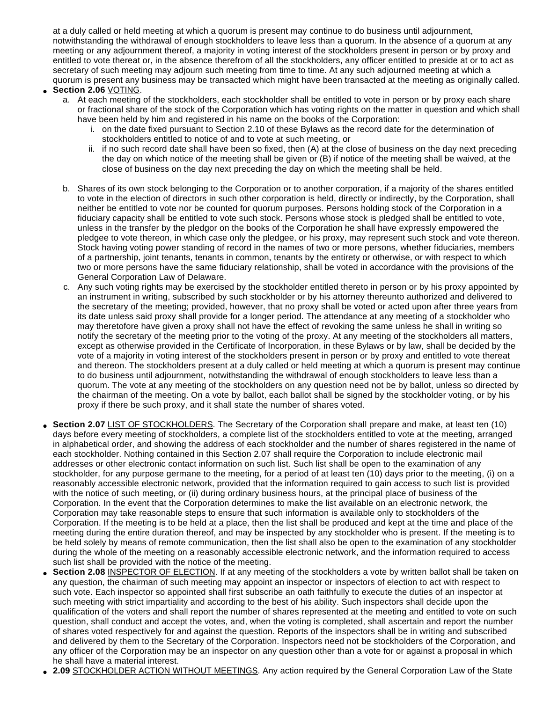at a duly called or held meeting at which a quorum is present may continue to do business until adjournment, notwithstanding the withdrawal of enough stockholders to leave less than a quorum. In the absence of a quorum at any meeting or any adjournment thereof, a majority in voting interest of the stockholders present in person or by proxy and entitled to vote thereat or, in the absence therefrom of all the stockholders, any officer entitled to preside at or to act as secretary of such meeting may adjourn such meeting from time to time. At any such adjourned meeting at which a quorum is present any business may be transacted which might have been transacted at the meeting as originally called.

- **Section 2.06** VOTING.
	- a. At each meeting of the stockholders, each stockholder shall be entitled to vote in person or by proxy each share or fractional share of the stock of the Corporation which has voting rights on the matter in question and which shall have been held by him and registered in his name on the books of the Corporation:
		- i. on the date fixed pursuant to Section 2.10 of these Bylaws as the record date for the determination of stockholders entitled to notice of and to vote at such meeting, or
		- ii. if no such record date shall have been so fixed, then (A) at the close of business on the day next preceding the day on which notice of the meeting shall be given or (B) if notice of the meeting shall be waived, at the close of business on the day next preceding the day on which the meeting shall be held.
	- b. Shares of its own stock belonging to the Corporation or to another corporation, if a majority of the shares entitled to vote in the election of directors in such other corporation is held, directly or indirectly, by the Corporation, shall neither be entitled to vote nor be counted for quorum purposes. Persons holding stock of the Corporation in a fiduciary capacity shall be entitled to vote such stock. Persons whose stock is pledged shall be entitled to vote, unless in the transfer by the pledgor on the books of the Corporation he shall have expressly empowered the pledgee to vote thereon, in which case only the pledgee, or his proxy, may represent such stock and vote thereon. Stock having voting power standing of record in the names of two or more persons, whether fiduciaries, members of a partnership, joint tenants, tenants in common, tenants by the entirety or otherwise, or with respect to which two or more persons have the same fiduciary relationship, shall be voted in accordance with the provisions of the General Corporation Law of Delaware.
	- c. Any such voting rights may be exercised by the stockholder entitled thereto in person or by his proxy appointed by an instrument in writing, subscribed by such stockholder or by his attorney thereunto authorized and delivered to the secretary of the meeting; provided, however, that no proxy shall be voted or acted upon after three years from its date unless said proxy shall provide for a longer period. The attendance at any meeting of a stockholder who may theretofore have given a proxy shall not have the effect of revoking the same unless he shall in writing so notify the secretary of the meeting prior to the voting of the proxy. At any meeting of the stockholders all matters, except as otherwise provided in the Certificate of Incorporation, in these Bylaws or by law, shall be decided by the vote of a majority in voting interest of the stockholders present in person or by proxy and entitled to vote thereat and thereon. The stockholders present at a duly called or held meeting at which a quorum is present may continue to do business until adjournment, notwithstanding the withdrawal of enough stockholders to leave less than a quorum. The vote at any meeting of the stockholders on any question need not be by ballot, unless so directed by the chairman of the meeting. On a vote by ballot, each ballot shall be signed by the stockholder voting, or by his proxy if there be such proxy, and it shall state the number of shares voted.
- Section 2.07 LIST OF STOCKHOLDERS. The Secretary of the Corporation shall prepare and make, at least ten (10) days before every meeting of stockholders, a complete list of the stockholders entitled to vote at the meeting, arranged in alphabetical order, and showing the address of each stockholder and the number of shares registered in the name of each stockholder. Nothing contained in this Section 2.07 shall require the Corporation to include electronic mail addresses or other electronic contact information on such list. Such list shall be open to the examination of any stockholder, for any purpose germane to the meeting, for a period of at least ten (10) days prior to the meeting, (i) on a reasonably accessible electronic network, provided that the information required to gain access to such list is provided with the notice of such meeting, or (ii) during ordinary business hours, at the principal place of business of the Corporation. In the event that the Corporation determines to make the list available on an electronic network, the Corporation may take reasonable steps to ensure that such information is available only to stockholders of the Corporation. If the meeting is to be held at a place, then the list shall be produced and kept at the time and place of the meeting during the entire duration thereof, and may be inspected by any stockholder who is present. If the meeting is to be held solely by means of remote communication, then the list shall also be open to the examination of any stockholder during the whole of the meeting on a reasonably accessible electronic network, and the information required to access such list shall be provided with the notice of the meeting.
- **Section 2.08 INSPECTOR OF ELECTION**. If at any meeting of the stockholders a vote by written ballot shall be taken on any question, the chairman of such meeting may appoint an inspector or inspectors of election to act with respect to such vote. Each inspector so appointed shall first subscribe an oath faithfully to execute the duties of an inspector at such meeting with strict impartiality and according to the best of his ability. Such inspectors shall decide upon the qualification of the voters and shall report the number of shares represented at the meeting and entitled to vote on such question, shall conduct and accept the votes, and, when the voting is completed, shall ascertain and report the number of shares voted respectively for and against the question. Reports of the inspectors shall be in writing and subscribed and delivered by them to the Secretary of the Corporation. Inspectors need not be stockholders of the Corporation, and any officer of the Corporation may be an inspector on any question other than a vote for or against a proposal in which he shall have a material interest.
- **2.09** STOCKHOLDER ACTION WITHOUT MEETINGS. Any action required by the General Corporation Law of the State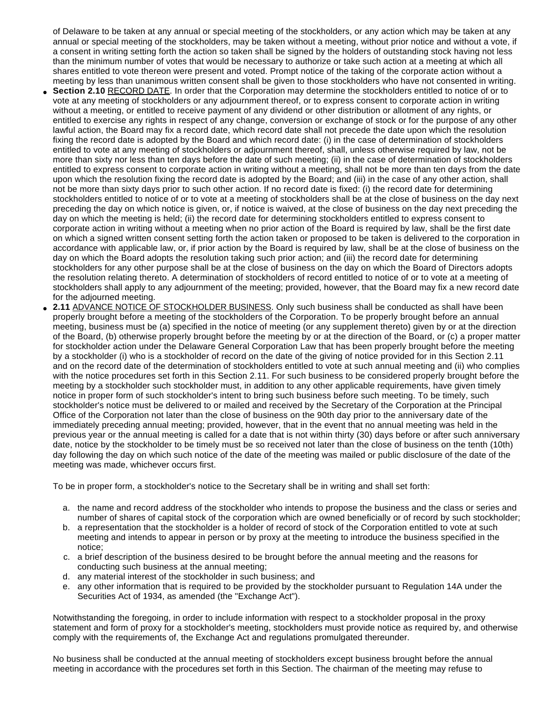of Delaware to be taken at any annual or special meeting of the stockholders, or any action which may be taken at any annual or special meeting of the stockholders, may be taken without a meeting, without prior notice and without a vote, if a consent in writing setting forth the action so taken shall be signed by the holders of outstanding stock having not less than the minimum number of votes that would be necessary to authorize or take such action at a meeting at which all shares entitled to vote thereon were present and voted. Prompt notice of the taking of the corporate action without a meeting by less than unanimous written consent shall be given to those stockholders who have not consented in writing.

- **Section 2.10 RECORD DATE.** In order that the Corporation may determine the stockholders entitled to notice of or to vote at any meeting of stockholders or any adjournment thereof, or to express consent to corporate action in writing without a meeting, or entitled to receive payment of any dividend or other distribution or allotment of any rights, or entitled to exercise any rights in respect of any change, conversion or exchange of stock or for the purpose of any other lawful action, the Board may fix a record date, which record date shall not precede the date upon which the resolution fixing the record date is adopted by the Board and which record date: (i) in the case of determination of stockholders entitled to vote at any meeting of stockholders or adjournment thereof, shall, unless otherwise required by law, not be more than sixty nor less than ten days before the date of such meeting; (ii) in the case of determination of stockholders entitled to express consent to corporate action in writing without a meeting, shall not be more than ten days from the date upon which the resolution fixing the record date is adopted by the Board; and (iii) in the case of any other action, shall not be more than sixty days prior to such other action. If no record date is fixed: (i) the record date for determining stockholders entitled to notice of or to vote at a meeting of stockholders shall be at the close of business on the day next preceding the day on which notice is given, or, if notice is waived, at the close of business on the day next preceding the day on which the meeting is held; (ii) the record date for determining stockholders entitled to express consent to corporate action in writing without a meeting when no prior action of the Board is required by law, shall be the first date on which a signed written consent setting forth the action taken or proposed to be taken is delivered to the corporation in accordance with applicable law, or, if prior action by the Board is required by law, shall be at the close of business on the day on which the Board adopts the resolution taking such prior action; and (iii) the record date for determining stockholders for any other purpose shall be at the close of business on the day on which the Board of Directors adopts the resolution relating thereto. A determination of stockholders of record entitled to notice of or to vote at a meeting of stockholders shall apply to any adjournment of the meeting; provided, however, that the Board may fix a new record date for the adjourned meeting.
- 2.11 ADVANCE NOTICE OF STOCKHOLDER BUSINESS. Only such business shall be conducted as shall have been properly brought before a meeting of the stockholders of the Corporation. To be properly brought before an annual meeting, business must be (a) specified in the notice of meeting (or any supplement thereto) given by or at the direction of the Board, (b) otherwise properly brought before the meeting by or at the direction of the Board, or (c) a proper matter for stockholder action under the Delaware General Corporation Law that has been properly brought before the meeting by a stockholder (i) who is a stockholder of record on the date of the giving of notice provided for in this Section 2.11 and on the record date of the determination of stockholders entitled to vote at such annual meeting and (ii) who complies with the notice procedures set forth in this Section 2.11. For such business to be considered properly brought before the meeting by a stockholder such stockholder must, in addition to any other applicable requirements, have given timely notice in proper form of such stockholder's intent to bring such business before such meeting. To be timely, such stockholder's notice must be delivered to or mailed and received by the Secretary of the Corporation at the Principal Office of the Corporation not later than the close of business on the 90th day prior to the anniversary date of the immediately preceding annual meeting; provided, however, that in the event that no annual meeting was held in the previous year or the annual meeting is called for a date that is not within thirty (30) days before or after such anniversary date, notice by the stockholder to be timely must be so received not later than the close of business on the tenth (10th) day following the day on which such notice of the date of the meeting was mailed or public disclosure of the date of the meeting was made, whichever occurs first.

To be in proper form, a stockholder's notice to the Secretary shall be in writing and shall set forth:

- a. the name and record address of the stockholder who intends to propose the business and the class or series and number of shares of capital stock of the corporation which are owned beneficially or of record by such stockholder;
- b. a representation that the stockholder is a holder of record of stock of the Corporation entitled to vote at such meeting and intends to appear in person or by proxy at the meeting to introduce the business specified in the notice;
- c. a brief description of the business desired to be brought before the annual meeting and the reasons for conducting such business at the annual meeting;
- d. any material interest of the stockholder in such business; and
- e. any other information that is required to be provided by the stockholder pursuant to Regulation 14A under the Securities Act of 1934, as amended (the "Exchange Act").

Notwithstanding the foregoing, in order to include information with respect to a stockholder proposal in the proxy statement and form of proxy for a stockholder's meeting, stockholders must provide notice as required by, and otherwise comply with the requirements of, the Exchange Act and regulations promulgated thereunder.

No business shall be conducted at the annual meeting of stockholders except business brought before the annual meeting in accordance with the procedures set forth in this Section. The chairman of the meeting may refuse to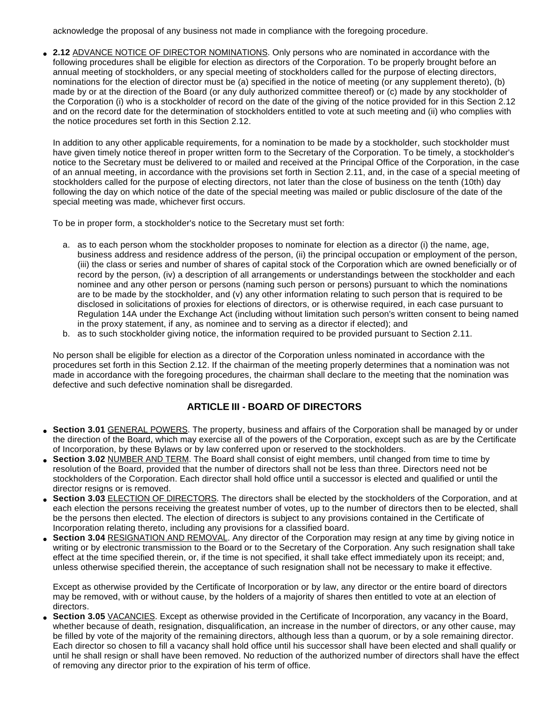acknowledge the proposal of any business not made in compliance with the foregoing procedure.

2.12 ADVANCE NOTICE OF DIRECTOR NOMINATIONS. Only persons who are nominated in accordance with the following procedures shall be eligible for election as directors of the Corporation. To be properly brought before an annual meeting of stockholders, or any special meeting of stockholders called for the purpose of electing directors, nominations for the election of director must be (a) specified in the notice of meeting (or any supplement thereto), (b) made by or at the direction of the Board (or any duly authorized committee thereof) or (c) made by any stockholder of the Corporation (i) who is a stockholder of record on the date of the giving of the notice provided for in this Section 2.12 and on the record date for the determination of stockholders entitled to vote at such meeting and (ii) who complies with the notice procedures set forth in this Section 2.12.

In addition to any other applicable requirements, for a nomination to be made by a stockholder, such stockholder must have given timely notice thereof in proper written form to the Secretary of the Corporation. To be timely, a stockholder's notice to the Secretary must be delivered to or mailed and received at the Principal Office of the Corporation, in the case of an annual meeting, in accordance with the provisions set forth in Section 2.11, and, in the case of a special meeting of stockholders called for the purpose of electing directors, not later than the close of business on the tenth (10th) day following the day on which notice of the date of the special meeting was mailed or public disclosure of the date of the special meeting was made, whichever first occurs.

To be in proper form, a stockholder's notice to the Secretary must set forth:

- a. as to each person whom the stockholder proposes to nominate for election as a director (i) the name, age, business address and residence address of the person, (ii) the principal occupation or employment of the person, (iii) the class or series and number of shares of capital stock of the Corporation which are owned beneficially or of record by the person, (iv) a description of all arrangements or understandings between the stockholder and each nominee and any other person or persons (naming such person or persons) pursuant to which the nominations are to be made by the stockholder, and (v) any other information relating to such person that is required to be disclosed in solicitations of proxies for elections of directors, or is otherwise required, in each case pursuant to Regulation 14A under the Exchange Act (including without limitation such person's written consent to being named in the proxy statement, if any, as nominee and to serving as a director if elected); and
- b. as to such stockholder giving notice, the information required to be provided pursuant to Section 2.11.

No person shall be eligible for election as a director of the Corporation unless nominated in accordance with the procedures set forth in this Section 2.12. If the chairman of the meeting properly determines that a nomination was not made in accordance with the foregoing procedures, the chairman shall declare to the meeting that the nomination was defective and such defective nomination shall be disregarded.

# **ARTICLE III - BOARD OF DIRECTORS**

- Section 3.01 **GENERAL POWERS**. The property, business and affairs of the Corporation shall be managed by or under the direction of the Board, which may exercise all of the powers of the Corporation, except such as are by the Certificate of Incorporation, by these Bylaws or by law conferred upon or reserved to the stockholders.
- Section 3.02 NUMBER AND TERM. The Board shall consist of eight members, until changed from time to time by resolution of the Board, provided that the number of directors shall not be less than three. Directors need not be stockholders of the Corporation. Each director shall hold office until a successor is elected and qualified or until the director resigns or is removed.
- **Section 3.03** ELECTION OF DIRECTORS. The directors shall be elected by the stockholders of the Corporation, and at each election the persons receiving the greatest number of votes, up to the number of directors then to be elected, shall be the persons then elected. The election of directors is subject to any provisions contained in the Certificate of Incorporation relating thereto, including any provisions for a classified board.
- **Section 3.04** RESIGNATION AND REMOVAL. Any director of the Corporation may resign at any time by giving notice in writing or by electronic transmission to the Board or to the Secretary of the Corporation. Any such resignation shall take effect at the time specified therein, or, if the time is not specified, it shall take effect immediately upon its receipt; and, unless otherwise specified therein, the acceptance of such resignation shall not be necessary to make it effective.

Except as otherwise provided by the Certificate of Incorporation or by law, any director or the entire board of directors may be removed, with or without cause, by the holders of a majority of shares then entitled to vote at an election of directors.

• Section 3.05 VACANCIES. Except as otherwise provided in the Certificate of Incorporation, any vacancy in the Board, whether because of death, resignation, disqualification, an increase in the number of directors, or any other cause, may be filled by vote of the majority of the remaining directors, although less than a quorum, or by a sole remaining director. Each director so chosen to fill a vacancy shall hold office until his successor shall have been elected and shall qualify or until he shall resign or shall have been removed. No reduction of the authorized number of directors shall have the effect of removing any director prior to the expiration of his term of office.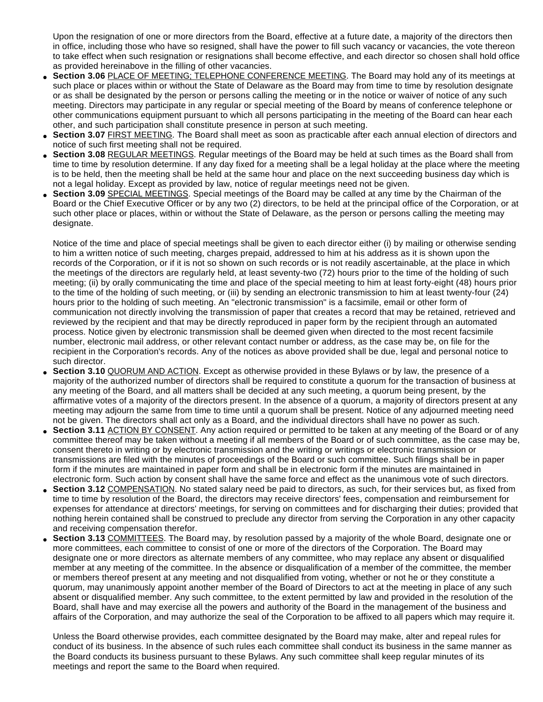Upon the resignation of one or more directors from the Board, effective at a future date, a majority of the directors then in office, including those who have so resigned, shall have the power to fill such vacancy or vacancies, the vote thereon to take effect when such resignation or resignations shall become effective, and each director so chosen shall hold office as provided hereinabove in the filling of other vacancies.

- **Section 3.06 PLACE OF MEETING; TELEPHONE CONFERENCE MEETING. The Board may hold any of its meetings at** such place or places within or without the State of Delaware as the Board may from time to time by resolution designate or as shall be designated by the person or persons calling the meeting or in the notice or waiver of notice of any such meeting. Directors may participate in any regular or special meeting of the Board by means of conference telephone or other communications equipment pursuant to which all persons participating in the meeting of the Board can hear each other, and such participation shall constitute presence in person at such meeting.
- **Section 3.07 FIRST MEETING.** The Board shall meet as soon as practicable after each annual election of directors and notice of such first meeting shall not be required.
- **Section 3.08** REGULAR MEETINGS. Regular meetings of the Board may be held at such times as the Board shall from time to time by resolution determine. If any day fixed for a meeting shall be a legal holiday at the place where the meeting is to be held, then the meeting shall be held at the same hour and place on the next succeeding business day which is not a legal holiday. Except as provided by law, notice of regular meetings need not be given.
- **Section 3.09** SPECIAL MEETINGS. Special meetings of the Board may be called at any time by the Chairman of the Board or the Chief Executive Officer or by any two (2) directors, to be held at the principal office of the Corporation, or at such other place or places, within or without the State of Delaware, as the person or persons calling the meeting may designate.

Notice of the time and place of special meetings shall be given to each director either (i) by mailing or otherwise sending to him a written notice of such meeting, charges prepaid, addressed to him at his address as it is shown upon the records of the Corporation, or if it is not so shown on such records or is not readily ascertainable, at the place in which the meetings of the directors are regularly held, at least seventy-two (72) hours prior to the time of the holding of such meeting; (ii) by orally communicating the time and place of the special meeting to him at least forty-eight (48) hours prior to the time of the holding of such meeting, or (iii) by sending an electronic transmission to him at least twenty-four (24) hours prior to the holding of such meeting. An "electronic transmission" is a facsimile, email or other form of communication not directly involving the transmission of paper that creates a record that may be retained, retrieved and reviewed by the recipient and that may be directly reproduced in paper form by the recipient through an automated process. Notice given by electronic transmission shall be deemed given when directed to the most recent facsimile number, electronic mail address, or other relevant contact number or address, as the case may be, on file for the recipient in the Corporation's records. Any of the notices as above provided shall be due, legal and personal notice to such director.

- **Section 3.10 QUORUM AND ACTION.** Except as otherwise provided in these Bylaws or by law, the presence of a majority of the authorized number of directors shall be required to constitute a quorum for the transaction of business at any meeting of the Board, and all matters shall be decided at any such meeting, a quorum being present, by the affirmative votes of a majority of the directors present. In the absence of a quorum, a majority of directors present at any meeting may adjourn the same from time to time until a quorum shall be present. Notice of any adjourned meeting need not be given. The directors shall act only as a Board, and the individual directors shall have no power as such.
- **Section 3.11** ACTION BY CONSENT. Any action required or permitted to be taken at any meeting of the Board or of any committee thereof may be taken without a meeting if all members of the Board or of such committee, as the case may be, consent thereto in writing or by electronic transmission and the writing or writings or electronic transmission or transmissions are filed with the minutes of proceedings of the Board or such committee. Such filings shall be in paper form if the minutes are maintained in paper form and shall be in electronic form if the minutes are maintained in electronic form. Such action by consent shall have the same force and effect as the unanimous vote of such directors.
- **Section 3.12 COMPENSATION. No stated salary need be paid to directors, as such, for their services but, as fixed from** time to time by resolution of the Board, the directors may receive directors' fees, compensation and reimbursement for expenses for attendance at directors' meetings, for serving on committees and for discharging their duties; provided that nothing herein contained shall be construed to preclude any director from serving the Corporation in any other capacity and receiving compensation therefor.
- **Section 3.13 COMMITTEES.** The Board may, by resolution passed by a majority of the whole Board, designate one or more committees, each committee to consist of one or more of the directors of the Corporation. The Board may designate one or more directors as alternate members of any committee, who may replace any absent or disqualified member at any meeting of the committee. In the absence or disqualification of a member of the committee, the member or members thereof present at any meeting and not disqualified from voting, whether or not he or they constitute a quorum, may unanimously appoint another member of the Board of Directors to act at the meeting in place of any such absent or disqualified member. Any such committee, to the extent permitted by law and provided in the resolution of the Board, shall have and may exercise all the powers and authority of the Board in the management of the business and affairs of the Corporation, and may authorize the seal of the Corporation to be affixed to all papers which may require it.

Unless the Board otherwise provides, each committee designated by the Board may make, alter and repeal rules for conduct of its business. In the absence of such rules each committee shall conduct its business in the same manner as the Board conducts its business pursuant to these Bylaws. Any such committee shall keep regular minutes of its meetings and report the same to the Board when required.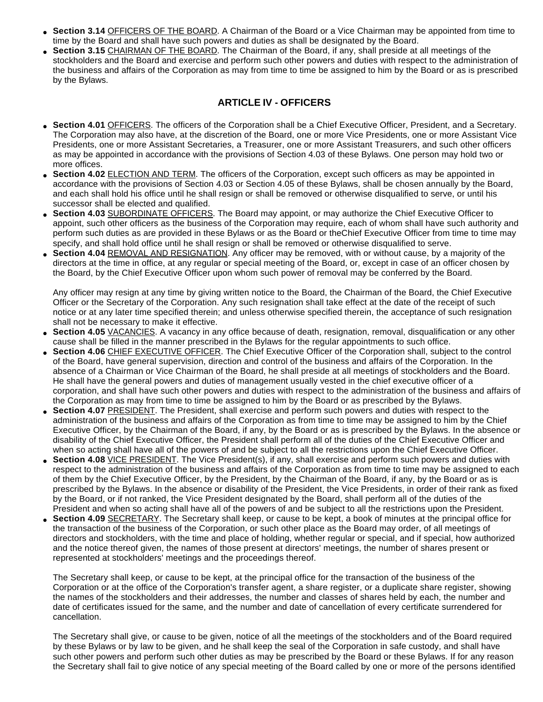- Section 3.14 OFFICERS OF THE BOARD. A Chairman of the Board or a Vice Chairman may be appointed from time to time by the Board and shall have such powers and duties as shall be designated by the Board.
- **Section 3.15** CHAIRMAN OF THE BOARD. The Chairman of the Board, if any, shall preside at all meetings of the stockholders and the Board and exercise and perform such other powers and duties with respect to the administration of the business and affairs of the Corporation as may from time to time be assigned to him by the Board or as is prescribed by the Bylaws.

#### **ARTICLE IV - OFFICERS**

- **Section 4.01 OFFICERS.** The officers of the Corporation shall be a Chief Executive Officer, President, and a Secretary. The Corporation may also have, at the discretion of the Board, one or more Vice Presidents, one or more Assistant Vice Presidents, one or more Assistant Secretaries, a Treasurer, one or more Assistant Treasurers, and such other officers as may be appointed in accordance with the provisions of Section 4.03 of these Bylaws. One person may hold two or more offices.
- Section 4.02 **ELECTION AND TERM.** The officers of the Corporation, except such officers as may be appointed in accordance with the provisions of Section 4.03 or Section 4.05 of these Bylaws, shall be chosen annually by the Board, and each shall hold his office until he shall resign or shall be removed or otherwise disqualified to serve, or until his successor shall be elected and qualified.
- **Section 4.03 SUBORDINATE OFFICERS.** The Board may appoint, or may authorize the Chief Executive Officer to appoint, such other officers as the business of the Corporation may require, each of whom shall have such authority and perform such duties as are provided in these Bylaws or as the Board or theChief Executive Officer from time to time may specify, and shall hold office until he shall resign or shall be removed or otherwise disqualified to serve.
- **Section 4.04 REMOVAL AND RESIGNATION.** Any officer may be removed, with or without cause, by a majority of the directors at the time in office, at any regular or special meeting of the Board, or, except in case of an officer chosen by the Board, by the Chief Executive Officer upon whom such power of removal may be conferred by the Board.

Any officer may resign at any time by giving written notice to the Board, the Chairman of the Board, the Chief Executive Officer or the Secretary of the Corporation. Any such resignation shall take effect at the date of the receipt of such notice or at any later time specified therein; and unless otherwise specified therein, the acceptance of such resignation shall not be necessary to make it effective.

- Section 4.05 VACANCIES. A vacancy in any office because of death, resignation, removal, disqualification or any other cause shall be filled in the manner prescribed in the Bylaws for the regular appointments to such office.
- **Section 4.06** CHIEF EXECUTIVE OFFICER. The Chief Executive Officer of the Corporation shall, subject to the control of the Board, have general supervision, direction and control of the business and affairs of the Corporation. In the absence of a Chairman or Vice Chairman of the Board, he shall preside at all meetings of stockholders and the Board. He shall have the general powers and duties of management usually vested in the chief executive officer of a corporation, and shall have such other powers and duties with respect to the administration of the business and affairs of the Corporation as may from time to time be assigned to him by the Board or as prescribed by the Bylaws.
- **Section 4.07 PRESIDENT.** The President, shall exercise and perform such powers and duties with respect to the administration of the business and affairs of the Corporation as from time to time may be assigned to him by the Chief Executive Officer, by the Chairman of the Board, if any, by the Board or as is prescribed by the Bylaws. In the absence or disability of the Chief Executive Officer, the President shall perform all of the duties of the Chief Executive Officer and when so acting shall have all of the powers of and be subject to all the restrictions upon the Chief Executive Officer.
- **Section 4.08** VICE PRESIDENT. The Vice President(s), if any, shall exercise and perform such powers and duties with respect to the administration of the business and affairs of the Corporation as from time to time may be assigned to each of them by the Chief Executive Officer, by the President, by the Chairman of the Board, if any, by the Board or as is prescribed by the Bylaws. In the absence or disability of the President, the Vice Presidents, in order of their rank as fixed by the Board, or if not ranked, the Vice President designated by the Board, shall perform all of the duties of the President and when so acting shall have all of the powers of and be subject to all the restrictions upon the President.
- Section 4.09 **SECRETARY**. The Secretary shall keep, or cause to be kept, a book of minutes at the principal office for the transaction of the business of the Corporation, or such other place as the Board may order, of all meetings of directors and stockholders, with the time and place of holding, whether regular or special, and if special, how authorized and the notice thereof given, the names of those present at directors' meetings, the number of shares present or represented at stockholders' meetings and the proceedings thereof.

The Secretary shall keep, or cause to be kept, at the principal office for the transaction of the business of the Corporation or at the office of the Corporation's transfer agent, a share register, or a duplicate share register, showing the names of the stockholders and their addresses, the number and classes of shares held by each, the number and date of certificates issued for the same, and the number and date of cancellation of every certificate surrendered for cancellation.

The Secretary shall give, or cause to be given, notice of all the meetings of the stockholders and of the Board required by these Bylaws or by law to be given, and he shall keep the seal of the Corporation in safe custody, and shall have such other powers and perform such other duties as may be prescribed by the Board or these Bylaws. If for any reason the Secretary shall fail to give notice of any special meeting of the Board called by one or more of the persons identified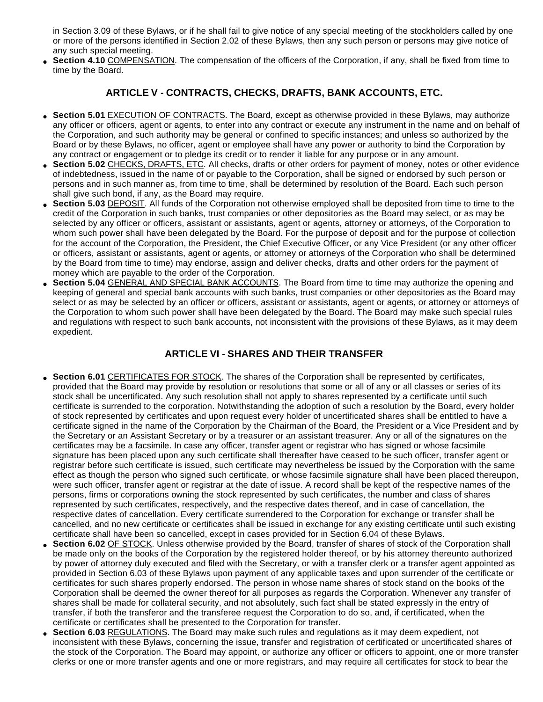in Section 3.09 of these Bylaws, or if he shall fail to give notice of any special meeting of the stockholders called by one or more of the persons identified in Section 2.02 of these Bylaws, then any such person or persons may give notice of any such special meeting.

**Section 4.10 COMPENSATION.** The compensation of the officers of the Corporation, if any, shall be fixed from time to time by the Board.

## **ARTICLE V - CONTRACTS, CHECKS, DRAFTS, BANK ACCOUNTS, ETC.**

- Section 5.01 EXECUTION OF CONTRACTS. The Board, except as otherwise provided in these Bylaws, may authorize any officer or officers, agent or agents, to enter into any contract or execute any instrument in the name and on behalf of the Corporation, and such authority may be general or confined to specific instances; and unless so authorized by the Board or by these Bylaws, no officer, agent or employee shall have any power or authority to bind the Corporation by any contract or engagement or to pledge its credit or to render it liable for any purpose or in any amount.
- **Section 5.02** CHECKS, DRAFTS, ETC. All checks, drafts or other orders for payment of money, notes or other evidence of indebtedness, issued in the name of or payable to the Corporation, shall be signed or endorsed by such person or persons and in such manner as, from time to time, shall be determined by resolution of the Board. Each such person shall give such bond, if any, as the Board may require.
- Section 5.03 DEPOSIT. All funds of the Corporation not otherwise employed shall be deposited from time to time to the credit of the Corporation in such banks, trust companies or other depositories as the Board may select, or as may be selected by any officer or officers, assistant or assistants, agent or agents, attorney or attorneys, of the Corporation to whom such power shall have been delegated by the Board. For the purpose of deposit and for the purpose of collection for the account of the Corporation, the President, the Chief Executive Officer, or any Vice President (or any other officer or officers, assistant or assistants, agent or agents, or attorney or attorneys of the Corporation who shall be determined by the Board from time to time) may endorse, assign and deliver checks, drafts and other orders for the payment of money which are payable to the order of the Corporation.
- Section 5.04 GENERAL AND SPECIAL BANK ACCOUNTS. The Board from time to time may authorize the opening and keeping of general and special bank accounts with such banks, trust companies or other depositories as the Board may select or as may be selected by an officer or officers, assistant or assistants, agent or agents, or attorney or attorneys of the Corporation to whom such power shall have been delegated by the Board. The Board may make such special rules and regulations with respect to such bank accounts, not inconsistent with the provisions of these Bylaws, as it may deem expedient.

## **ARTICLE VI - SHARES AND THEIR TRANSFER**

- **Section 6.01** CERTIFICATES FOR STOCK. The shares of the Corporation shall be represented by certificates, provided that the Board may provide by resolution or resolutions that some or all of any or all classes or series of its stock shall be uncertificated. Any such resolution shall not apply to shares represented by a certificate until such certificate is surrended to the corporation. Notwithstanding the adoption of such a resolution by the Board, every holder of stock represented by certificates and upon request every holder of uncertificated shares shall be entitled to have a certificate signed in the name of the Corporation by the Chairman of the Board, the President or a Vice President and by the Secretary or an Assistant Secretary or by a treasurer or an assistant treasurer. Any or all of the signatures on the certificates may be a facsimile. In case any officer, transfer agent or registrar who has signed or whose facsimile signature has been placed upon any such certificate shall thereafter have ceased to be such officer, transfer agent or registrar before such certificate is issued, such certificate may nevertheless be issued by the Corporation with the same effect as though the person who signed such certificate, or whose facsimile signature shall have been placed thereupon, were such officer, transfer agent or registrar at the date of issue. A record shall be kept of the respective names of the persons, firms or corporations owning the stock represented by such certificates, the number and class of shares represented by such certificates, respectively, and the respective dates thereof, and in case of cancellation, the respective dates of cancellation. Every certificate surrendered to the Corporation for exchange or transfer shall be cancelled, and no new certificate or certificates shall be issued in exchange for any existing certificate until such existing certificate shall have been so cancelled, except in cases provided for in Section 6.04 of these Bylaws.
- **Section 6.02 OF STOCK.** Unless otherwise provided by the Board, transfer of shares of stock of the Corporation shall be made only on the books of the Corporation by the registered holder thereof, or by his attorney thereunto authorized by power of attorney duly executed and filed with the Secretary, or with a transfer clerk or a transfer agent appointed as provided in Section 6.03 of these Bylaws upon payment of any applicable taxes and upon surrender of the certificate or certificates for such shares properly endorsed. The person in whose name shares of stock stand on the books of the Corporation shall be deemed the owner thereof for all purposes as regards the Corporation. Whenever any transfer of shares shall be made for collateral security, and not absolutely, such fact shall be stated expressly in the entry of transfer, if both the transferor and the transferee request the Corporation to do so, and, if certificated, when the certificate or certificates shall be presented to the Corporation for transfer.
- **Section 6.03 REGULATIONS**. The Board may make such rules and regulations as it may deem expedient, not inconsistent with these Bylaws, concerning the issue, transfer and registration of certificated or uncertificated shares of the stock of the Corporation. The Board may appoint, or authorize any officer or officers to appoint, one or more transfer clerks or one or more transfer agents and one or more registrars, and may require all certificates for stock to bear the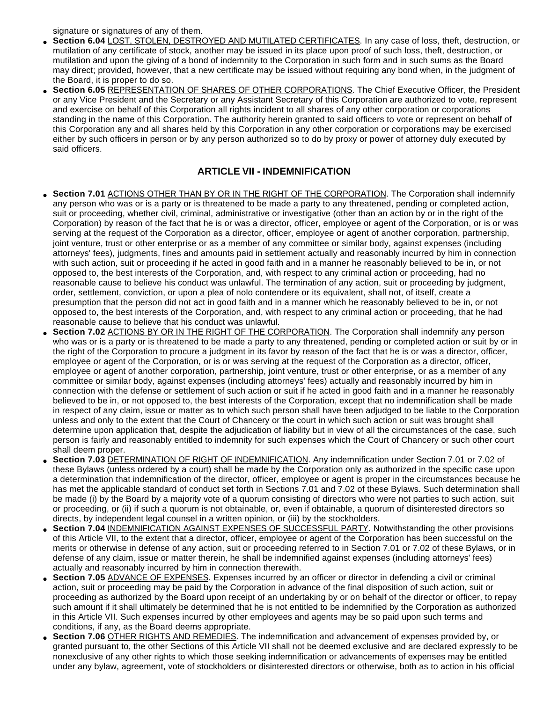signature or signatures of any of them.

- **Section 6.04** LOST, STOLEN, DESTROYED AND MUTILATED CERTIFICATES. In any case of loss, theft, destruction, or mutilation of any certificate of stock, another may be issued in its place upon proof of such loss, theft, destruction, or mutilation and upon the giving of a bond of indemnity to the Corporation in such form and in such sums as the Board may direct; provided, however, that a new certificate may be issued without requiring any bond when, in the judgment of the Board, it is proper to do so.
- **Section 6.05** REPRESENTATION OF SHARES OF OTHER CORPORATIONS. The Chief Executive Officer, the President or any Vice President and the Secretary or any Assistant Secretary of this Corporation are authorized to vote, represent and exercise on behalf of this Corporation all rights incident to all shares of any other corporation or corporations standing in the name of this Corporation. The authority herein granted to said officers to vote or represent on behalf of this Corporation any and all shares held by this Corporation in any other corporation or corporations may be exercised either by such officers in person or by any person authorized so to do by proxy or power of attorney duly executed by said officers.

# **ARTICLE VII - INDEMNIFICATION**

- Section 7.01 ACTIONS OTHER THAN BY OR IN THE RIGHT OF THE CORPORATION. The Corporation shall indemnify any person who was or is a party or is threatened to be made a party to any threatened, pending or completed action, suit or proceeding, whether civil, criminal, administrative or investigative (other than an action by or in the right of the Corporation) by reason of the fact that he is or was a director, officer, employee or agent of the Corporation, or is or was serving at the request of the Corporation as a director, officer, employee or agent of another corporation, partnership, joint venture, trust or other enterprise or as a member of any committee or similar body, against expenses (including attorneys' fees), judgments, fines and amounts paid in settlement actually and reasonably incurred by him in connection with such action, suit or proceeding if he acted in good faith and in a manner he reasonably believed to be in, or not opposed to, the best interests of the Corporation, and, with respect to any criminal action or proceeding, had no reasonable cause to believe his conduct was unlawful. The termination of any action, suit or proceeding by judgment, order, settlement, conviction, or upon a plea of nolo contendere or its equivalent, shall not, of itself, create a presumption that the person did not act in good faith and in a manner which he reasonably believed to be in, or not opposed to, the best interests of the Corporation, and, with respect to any criminal action or proceeding, that he had reasonable cause to believe that his conduct was unlawful.
- **Section 7.02 ACTIONS BY OR IN THE RIGHT OF THE CORPORATION. The Corporation shall indemnify any person** who was or is a party or is threatened to be made a party to any threatened, pending or completed action or suit by or in the right of the Corporation to procure a judgment in its favor by reason of the fact that he is or was a director, officer, employee or agent of the Corporation, or is or was serving at the request of the Corporation as a director, officer, employee or agent of another corporation, partnership, joint venture, trust or other enterprise, or as a member of any committee or similar body, against expenses (including attorneys' fees) actually and reasonably incurred by him in connection with the defense or settlement of such action or suit if he acted in good faith and in a manner he reasonably believed to be in, or not opposed to, the best interests of the Corporation, except that no indemnification shall be made in respect of any claim, issue or matter as to which such person shall have been adjudged to be liable to the Corporation unless and only to the extent that the Court of Chancery or the court in which such action or suit was brought shall determine upon application that, despite the adjudication of liability but in view of all the circumstances of the case, such person is fairly and reasonably entitled to indemnity for such expenses which the Court of Chancery or such other court shall deem proper.
- **Section 7.03** DETERMINATION OF RIGHT OF INDEMNIFICATION. Any indemnification under Section 7.01 or 7.02 of these Bylaws (unless ordered by a court) shall be made by the Corporation only as authorized in the specific case upon a determination that indemnification of the director, officer, employee or agent is proper in the circumstances because he has met the applicable standard of conduct set forth in Sections 7.01 and 7.02 of these Bylaws. Such determination shall be made (i) by the Board by a majority vote of a quorum consisting of directors who were not parties to such action, suit or proceeding, or (ii) if such a quorum is not obtainable, or, even if obtainable, a quorum of disinterested directors so directs, by independent legal counsel in a written opinion, or (iii) by the stockholders.
- **Section 7.04 INDEMNIFICATION AGAINST EXPENSES OF SUCCESSFUL PARTY. Notwithstanding the other provisions** of this Article VII, to the extent that a director, officer, employee or agent of the Corporation has been successful on the merits or otherwise in defense of any action, suit or proceeding referred to in Section 7.01 or 7.02 of these Bylaws, or in defense of any claim, issue or matter therein, he shall be indemnified against expenses (including attorneys' fees) actually and reasonably incurred by him in connection therewith.
- **Section 7.05** ADVANCE OF EXPENSES. Expenses incurred by an officer or director in defending a civil or criminal action, suit or proceeding may be paid by the Corporation in advance of the final disposition of such action, suit or proceeding as authorized by the Board upon receipt of an undertaking by or on behalf of the director or officer, to repay such amount if it shall ultimately be determined that he is not entitled to be indemnified by the Corporation as authorized in this Article VII. Such expenses incurred by other employees and agents may be so paid upon such terms and conditions, if any, as the Board deems appropriate.
- **Section 7.06 OTHER RIGHTS AND REMEDIES.** The indemnification and advancement of expenses provided by, or granted pursuant to, the other Sections of this Article VII shall not be deemed exclusive and are declared expressly to be nonexclusive of any other rights to which those seeking indemnification or advancements of expenses may be entitled under any bylaw, agreement, vote of stockholders or disinterested directors or otherwise, both as to action in his official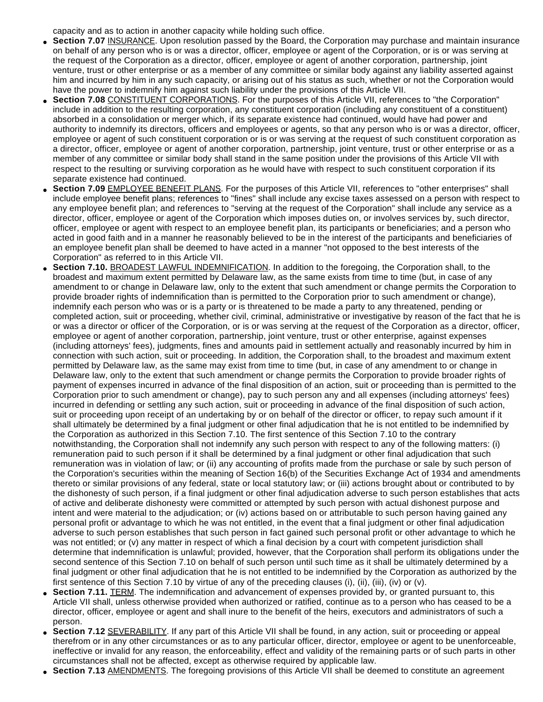capacity and as to action in another capacity while holding such office.

- Section 7.07 INSURANCE. Upon resolution passed by the Board, the Corporation may purchase and maintain insurance on behalf of any person who is or was a director, officer, employee or agent of the Corporation, or is or was serving at the request of the Corporation as a director, officer, employee or agent of another corporation, partnership, joint venture, trust or other enterprise or as a member of any committee or similar body against any liability asserted against him and incurred by him in any such capacity, or arising out of his status as such, whether or not the Corporation would have the power to indemnify him against such liability under the provisions of this Article VII.
- **Section 7.08 CONSTITUENT CORPORATIONS. For the purposes of this Article VII, references to "the Corporation"** include in addition to the resulting corporation, any constituent corporation (including any constituent of a constituent) absorbed in a consolidation or merger which, if its separate existence had continued, would have had power and authority to indemnify its directors, officers and employees or agents, so that any person who is or was a director, officer, employee or agent of such constituent corporation or is or was serving at the request of such constituent corporation as a director, officer, employee or agent of another corporation, partnership, joint venture, trust or other enterprise or as a member of any committee or similar body shall stand in the same position under the provisions of this Article VII with respect to the resulting or surviving corporation as he would have with respect to such constituent corporation if its separate existence had continued.
- Section 7.09 **EMPLOYEE BENEFIT PLANS**. For the purposes of this Article VII, references to "other enterprises" shall include employee benefit plans; references to "fines" shall include any excise taxes assessed on a person with respect to any employee benefit plan; and references to "serving at the request of the Corporation" shall include any service as a director, officer, employee or agent of the Corporation which imposes duties on, or involves services by, such director, officer, employee or agent with respect to an employee benefit plan, its participants or beneficiaries; and a person who acted in good faith and in a manner he reasonably believed to be in the interest of the participants and beneficiaries of an employee benefit plan shall be deemed to have acted in a manner "not opposed to the best interests of the Corporation" as referred to in this Article VII.
- **Section 7.10.** BROADEST LAWFUL INDEMNIFICATION. In addition to the foregoing, the Corporation shall, to the broadest and maximum extent permitted by Delaware law, as the same exists from time to time (but, in case of any amendment to or change in Delaware law, only to the extent that such amendment or change permits the Corporation to provide broader rights of indemnification than is permitted to the Corporation prior to such amendment or change), indemnify each person who was or is a party or is threatened to be made a party to any threatened, pending or completed action, suit or proceeding, whether civil, criminal, administrative or investigative by reason of the fact that he is or was a director or officer of the Corporation, or is or was serving at the request of the Corporation as a director, officer, employee or agent of another corporation, partnership, joint venture, trust or other enterprise, against expenses (including attorneys' fees), judgments, fines and amounts paid in settlement actually and reasonably incurred by him in connection with such action, suit or proceeding. In addition, the Corporation shall, to the broadest and maximum extent permitted by Delaware law, as the same may exist from time to time (but, in case of any amendment to or change in Delaware law, only to the extent that such amendment or change permits the Corporation to provide broader rights of payment of expenses incurred in advance of the final disposition of an action, suit or proceeding than is permitted to the Corporation prior to such amendment or change), pay to such person any and all expenses (including attorneys' fees) incurred in defending or settling any such action, suit or proceeding in advance of the final disposition of such action, suit or proceeding upon receipt of an undertaking by or on behalf of the director or officer, to repay such amount if it shall ultimately be determined by a final judgment or other final adjudication that he is not entitled to be indemnified by the Corporation as authorized in this Section 7.10. The first sentence of this Section 7.10 to the contrary notwithstanding, the Corporation shall not indemnify any such person with respect to any of the following matters: (i) remuneration paid to such person if it shall be determined by a final judgment or other final adjudication that such remuneration was in violation of law; or (ii) any accounting of profits made from the purchase or sale by such person of the Corporation's securities within the meaning of Section 16(b) of the Securities Exchange Act of 1934 and amendments thereto or similar provisions of any federal, state or local statutory law; or (iii) actions brought about or contributed to by the dishonesty of such person, if a final judgment or other final adjudication adverse to such person establishes that acts of active and deliberate dishonesty were committed or attempted by such person with actual dishonest purpose and intent and were material to the adjudication; or (iv) actions based on or attributable to such person having gained any personal profit or advantage to which he was not entitled, in the event that a final judgment or other final adjudication adverse to such person establishes that such person in fact gained such personal profit or other advantage to which he was not entitled; or (v) any matter in respect of which a final decision by a court with competent jurisdiction shall determine that indemnification is unlawful; provided, however, that the Corporation shall perform its obligations under the second sentence of this Section 7.10 on behalf of such person until such time as it shall be ultimately determined by a final judgment or other final adjudication that he is not entitled to be indemnified by the Corporation as authorized by the first sentence of this Section 7.10 by virtue of any of the preceding clauses (i), (ii), (iii), (iv) or (v).
- **Section 7.11.** TERM. The indemnification and advancement of expenses provided by, or granted pursuant to, this Article VII shall, unless otherwise provided when authorized or ratified, continue as to a person who has ceased to be a director, officer, employee or agent and shall inure to the benefit of the heirs, executors and administrators of such a person.
- **Section 7.12** SEVERABILITY. If any part of this Article VII shall be found, in any action, suit or proceeding or appeal therefrom or in any other circumstances or as to any particular officer, director, employee or agent to be unenforceable, ineffective or invalid for any reason, the enforceability, effect and validity of the remaining parts or of such parts in other circumstances shall not be affected, except as otherwise required by applicable law.
- **Section 7.13** AMENDMENTS. The foregoing provisions of this Article VII shall be deemed to constitute an agreement